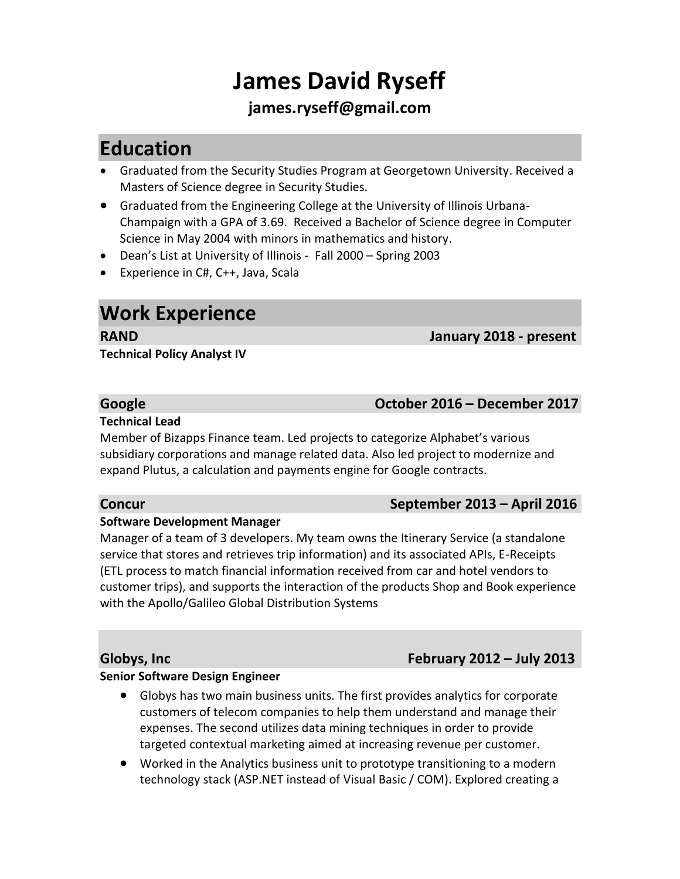# **James David Ryseff**

## **james.ryseff@gmail.com**

## **Education**

- Graduated from the Security Studies Program at Georgetown University. Received a Masters of Science degree in Security Studies.
- Graduated from the Engineering College at the University of Illinois Urbana-Champaign with a GPA of 3.69. Received a Bachelor of Science degree in Computer Science in May 2004 with minors in mathematics and history.
- Dean's List at University of Illinois Fall 2000 Spring 2003
- Experience in C#, C++, Java, Scala

## **Work Experience**

**Technical Policy Analyst IV**

## **RAND January 2018 - present**

### **Google October 2016 – December 2017**

### **Technical Lead**

Member of Bizapps Finance team. Led projects to categorize Alphabet's various subsidiary corporations and manage related data. Also led project to modernize and expand Plutus, a calculation and payments engine for Google contracts.

### **Concur September 2013 – April 2016**

### **Software Development Manager**

Manager of a team of 3 developers. My team owns the Itinerary Service (a standalone service that stores and retrieves trip information) and its associated APIs, E-Receipts (ETL process to match financial information received from car and hotel vendors to customer trips), and supports the interaction of the products Shop and Book experience with the Apollo/Galileo Global Distribution Systems

### **Globys, Inc February 2012 – July 2013**

### **Senior Software Design Engineer**

- Globys has two main business units. The first provides analytics for corporate customers of telecom companies to help them understand and manage their expenses. The second utilizes data mining techniques in order to provide targeted contextual marketing aimed at increasing revenue per customer.
- Worked in the Analytics business unit to prototype transitioning to a modern technology stack (ASP.NET instead of Visual Basic / COM). Explored creating a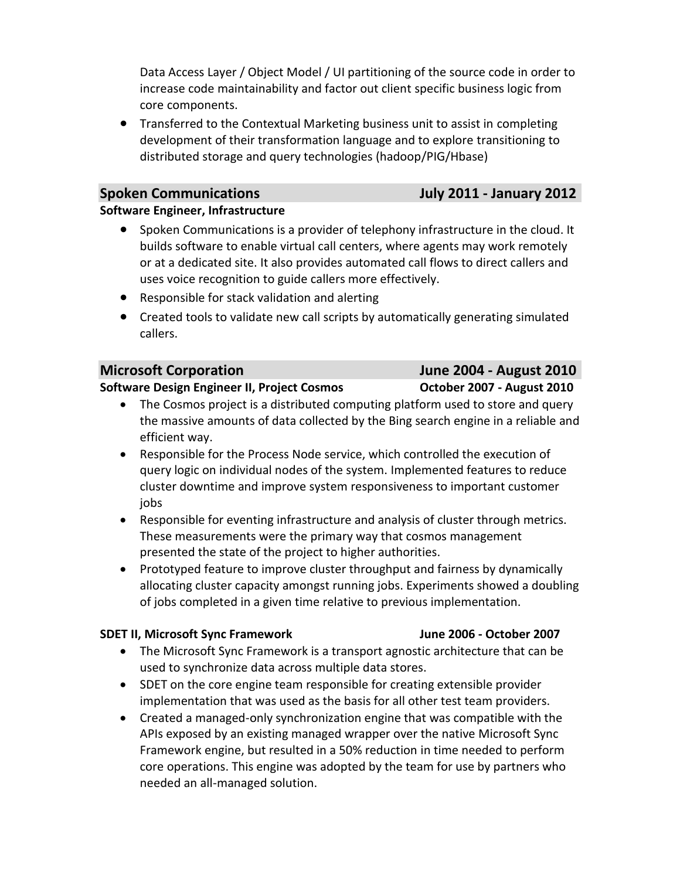Data Access Layer / Object Model / UI partitioning of the source code in order to increase code maintainability and factor out client specific business logic from core components.

• Transferred to the Contextual Marketing business unit to assist in completing development of their transformation language and to explore transitioning to distributed storage and query technologies (hadoop/PIG/Hbase)

### **Spoken Communications July 2011 - January 2012**

### **Software Engineer, Infrastructure**

- Spoken Communications is a provider of telephony infrastructure in the cloud. It builds software to enable virtual call centers, where agents may work remotely or at a dedicated site. It also provides automated call flows to direct callers and uses voice recognition to guide callers more effectively.
- Responsible for stack validation and alerting
- Created tools to validate new call scripts by automatically generating simulated callers.

### **Microsoft Corporation June 2004 - August 2010**

### **Software Design Engineer II, Project Cosmos October 2007 - August 2010**

- The Cosmos project is a distributed computing platform used to store and query the massive amounts of data collected by the Bing search engine in a reliable and efficient way.
- Responsible for the Process Node service, which controlled the execution of query logic on individual nodes of the system. Implemented features to reduce cluster downtime and improve system responsiveness to important customer jobs
- Responsible for eventing infrastructure and analysis of cluster through metrics. These measurements were the primary way that cosmos management presented the state of the project to higher authorities.
- Prototyped feature to improve cluster throughput and fairness by dynamically allocating cluster capacity amongst running jobs. Experiments showed a doubling of jobs completed in a given time relative to previous implementation.

### **SDET II, Microsoft Sync Framework June 2006 - October 2007**

- The Microsoft Sync Framework is a transport agnostic architecture that can be used to synchronize data across multiple data stores.
- SDET on the core engine team responsible for creating extensible provider implementation that was used as the basis for all other test team providers.
- Created a managed-only synchronization engine that was compatible with the APIs exposed by an existing managed wrapper over the native Microsoft Sync Framework engine, but resulted in a 50% reduction in time needed to perform core operations. This engine was adopted by the team for use by partners who needed an all-managed solution.